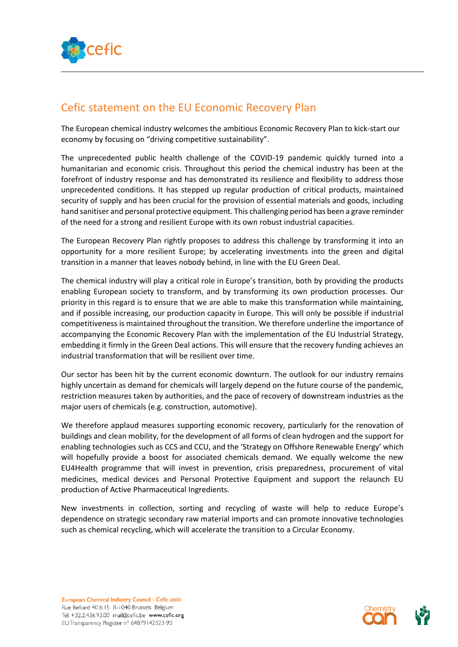

## Cefic statement on the EU Economic Recovery Plan

The European chemical industry welcomes the ambitious Economic Recovery Plan to kick-start our economy by focusing on "driving competitive sustainability".

The unprecedented public health challenge of the COVID-19 pandemic quickly turned into a humanitarian and economic crisis. Throughout this period the chemical industry has been at the forefront of industry response and has demonstrated its resilience and flexibility to address those unprecedented conditions. It has stepped up regular production of critical products, maintained security of supply and has been crucial for the provision of essential materials and goods, including hand sanitiser and personal protective equipment. This challenging period has been a grave reminder of the need for a strong and resilient Europe with its own robust industrial capacities.

The European Recovery Plan rightly proposes to address this challenge by transforming it into an opportunity for a more resilient Europe; by accelerating investments into the green and digital transition in a manner that leaves nobody behind, in line with the EU Green Deal.

The chemical industry will play a critical role in Europe's transition, both by providing the products enabling European society to transform, and by transforming its own production processes. Our priority in this regard is to ensure that we are able to make this transformation while maintaining, and if possible increasing, our production capacity in Europe. This will only be possible if industrial competitiveness is maintained throughout the transition. We therefore underline the importance of accompanying the Economic Recovery Plan with the implementation of the EU Industrial Strategy, embedding it firmly in the Green Deal actions. This will ensure that the recovery funding achieves an industrial transformation that will be resilient over time.

Our sector has been hit by the current economic downturn. The outlook for our industry remains highly uncertain as demand for chemicals will largely depend on the future course of the pandemic, restriction measures taken by authorities, and the pace of recovery of downstream industries as the major users of chemicals (e.g. construction, automotive).

We therefore applaud measures supporting economic recovery, particularly for the renovation of buildings and clean mobility, for the development of all forms of clean hydrogen and the support for enabling technologies such as CCS and CCU, and the 'Strategy on Offshore Renewable Energy' which will hopefully provide a boost for associated chemicals demand. We equally welcome the new EU4Health programme that will invest in prevention, crisis preparedness, procurement of vital medicines, medical devices and Personal Protective Equipment and support the relaunch EU production of Active Pharmaceutical Ingredients.

New investments in collection, sorting and recycling of waste will help to reduce Europe's dependence on strategic secondary raw material imports and can promote innovative technologies such as chemical recycling, which will accelerate the transition to a Circular Economy.